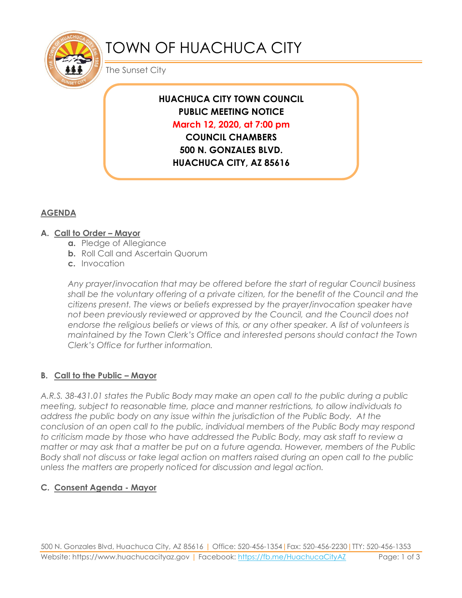

# TOWN OF HUACHUCA CITY

The Sunset City

## **HUACHUCA CITY TOWN COUNCIL PUBLIC MEETING NOTICE March 12, 2020, at 7:00 pm**

**COUNCIL CHAMBERS 500 N. GONZALES BLVD. HUACHUCA CITY, AZ 85616**

### **AGENDA**

#### **A. Call to Order – Mayor**

- **a.** Pledge of Allegiance
- **b.** Roll Call and Ascertain Quorum
- **c.** Invocation

*Any prayer/invocation that may be offered before the start of regular Council business shall be the voluntary offering of a private citizen, for the benefit of the Council and the citizens present. The views or beliefs expressed by the prayer/invocation speaker have not been previously reviewed or approved by the Council, and the Council does not endorse the religious beliefs or views of this, or any other speaker. A list of volunteers is maintained by the Town Clerk's Office and interested persons should contact the Town Clerk's Office for further information.*

### **B. Call to the Public – Mayor**

*A.R.S. 38-431.01 states the Public Body may make an open call to the public during a public meeting, subject to reasonable time, place and manner restrictions, to allow individuals to address the public body on any issue within the jurisdiction of the Public Body. At the conclusion of an open call to the public, individual members of the Public Body may respond to criticism made by those who have addressed the Public Body, may ask staff to review a matter or may ask that a matter be put on a future agenda. However, members of the Public Body shall not discuss or take legal action on matters raised during an open call to the public unless the matters are properly noticed for discussion and legal action.*

### **C. Consent Agenda - Mayor**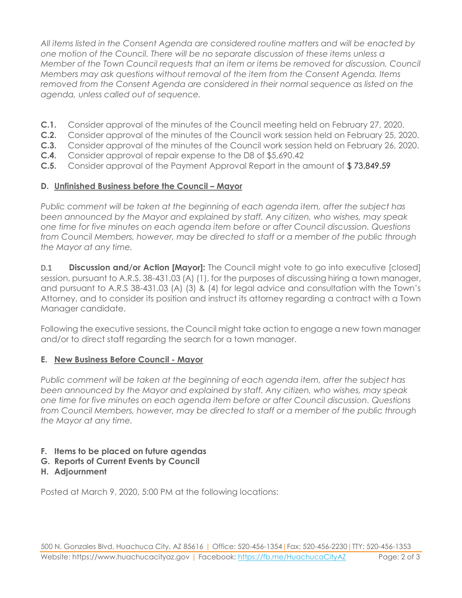*All items listed in the Consent Agenda are considered routine matters and will be enacted by one motion of the Council. There will be no separate discussion of these items unless a Member of the Town Council requests that an item or items be removed for discussion. Council Members may ask questions without removal of the item from the Consent Agenda. Items removed from the Consent Agenda are considered in their normal sequence as listed on the agenda, unless called out of sequence.*

- **C.1.** Consider approval of the minutes of the Council meeting held on February 27, 2020.
- **C.2.** Consider approval of the minutes of the Council work session held on February 25, 2020.
- **C.3.** Consider approval of the minutes of the Council work session held on February 26, 2020.
- **C.4.** Consider approval of repair expense to the D8 of \$5,690.42
- **C.5.** Consider approval of the Payment Approval Report in the amount of \$ 73,849.59

### **D.** Unfinished Business before the Council – Mayor

*Public comment will be taken at the beginning of each agenda item, after the subject has been announced by the Mayor and explained by staff. Any citizen, who wishes, may speak one time for five minutes on each agenda item before or after Council discussion. Questions from Council Members, however, may be directed to staff or a member of the public through the Mayor at any time.*

D.1 **Discussion and/or Action [Mayor]:** The Council might vote to go into executive [closed] session, pursuant to A.R.S. 38-431.03 (A) (1), for the purposes of discussing hiring a town manager, and pursuant to A.R.S 38-431.03 (A) (3) & (4) for legal advice and consultation with the Town's Attorney, and to consider its position and instruct its attorney regarding a contract with a Town Manager candidate.

Following the executive sessions, the Council might take action to engage a new town manager and/or to direct staff regarding the search for a town manager.

### **E. New Business Before Council - Mayor**

*Public comment will be taken at the beginning of each agenda item, after the subject has been announced by the Mayor and explained by staff. Any citizen, who wishes, may speak one time for five minutes on each agenda item before or after Council discussion. Questions from Council Members, however, may be directed to staff or a member of the public through the Mayor at any time.* 

### **F. Items to be placed on future agendas**

- **G. Reports of Current Events by Council**
- **H. Adjournment**

Posted at March 9, 2020, 5:00 PM at the following locations: